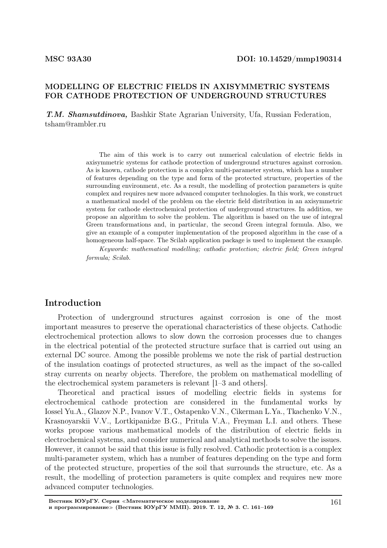#### MODELLING OF ELECTRIC FIELDS IN AXISYMMETRIC SYSTEMS FOR CATHODE PROTECTION OF UNDERGROUND STRUCTURES

Т.М. Shamsutdinova, Bashkir State Agrarian University, Ufa, Russian Federation, tsham@rambler.ru

> The aim of this work is to carry out numerical calculation of electric fields in axisymmetric systems for cathode protection of underground structures against corrosion. As is known, cathode protection is a complex multi-parameter system, which has a number of features depending on the type and form of the protected structure, properties of the surrounding environment, etc. As a result, the modelling of protection parameters is quite complex and requires new more advanced computer technologies. In this work, we construct a mathematical model of the problem on the electric field distribution in an axisymmetric system for cathode electrochemical protection of underground structures. In addition, we propose an algorithm to solve the problem. The algorithm is based on the use of integral Green transformations and, in particular, the second Green integral formula. Also, we give an example of a computer implementation of the proposed algorithm in the case of a homogeneous half-space. The Scilab application package is used to implement the example.

> Keywords: mathematical modelling; cathodic protection; electric field; Green integral formula; Scilab.

## Introduction

Protection of underground structures against corrosion is one of the most important measures to preserve the operational characteristics of these objects. Cathodic electrochemical protection allows to slow down the corrosion processes due to changes in the electrical potential of the protected structure surface that is carried out using an external DC source. Among the possible problems we note the risk of partial destruction of the insulation coatings of protected structures, as well as the impact of the so-called stray currents on nearby objects. Therefore, the problem on mathematical modelling of the electrochemical system parameters is relevant [1–3 and others].

Theoretical and practical issues of modelling electric fields in systems for electrochemical cathode protection are considered in the fundamental works by Iossel Yu.A., Glazov N.P., Ivanov V.T., Ostapenko V.N., Cikerman L.Ya., Tkachenko V.N., Krasnoyarskii V.V., Lortkipanidze B.G., Pritula V.A., Freyman L.I. and others. These works propose various mathematical models of the distribution of electric fields in electrochemical systems, and consider numerical and analytical methods to solve the issues. However, it cannot be said that this issue is fully resolved. Cathodic protection is a complex multi-parameter system, which has a number of features depending on the type and form of the protected structure, properties of the soil that surrounds the structure, etc. As a result, the modelling of protection parameters is quite complex and requires new more advanced computer technologies.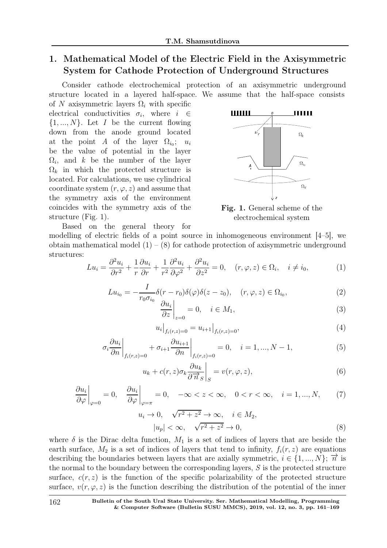# 1. Mathematical Model of the Electric Field in the Axisymmetric System for Cathode Protection of Underground Structures

Consider cathode electrochemical protection of an axisymmetric underground structure located in a layered half-space. We assume that the half-space consists

of N axisymmetric layers  $\Omega_i$  with specific electrical conductivities  $\sigma_i$ , where  $i \in$  $\{1, ..., N\}$ . Let I be the current flowing down from the anode ground located at the point A of the layer  $\Omega_{i_0}$ ;  $u_i$ be the value of potential in the layer  $\Omega_i$ , and k be the number of the layer  $\Omega_k$  in which the protected structure is located. For calculations, we use cylindrical coordinate system  $(r, \varphi, z)$  and assume that the symmetry axis of the environment coincides with the symmetry axis of the structure (Fig. 1).



Fig. 1. General scheme of the electrochemical system

Based on the general theory for modelling of electric fields of a point source in inhomogeneous environment [4–5], we obtain mathematical model  $(1) - (8)$  for cathode protection of axisymmetric underground structures:

$$
Lu_i = \frac{\partial^2 u_i}{\partial r^2} + \frac{1}{r} \frac{\partial u_i}{\partial r} + \frac{1}{r^2} \frac{\partial^2 u_i}{\partial \varphi^2} + \frac{\partial^2 u_i}{\partial z^2} = 0, \quad (r, \varphi, z) \in \Omega_i, \quad i \neq i_0,
$$
 (1)

$$
Lu_{i_0} = -\frac{I}{r_0 \sigma_{i_0}} \delta(r - r_0) \delta(\varphi) \delta(z - z_0), \quad (r, \varphi, z) \in \Omega_{i_0},\tag{2}
$$

$$
\left. \frac{\partial u_i}{\partial z} \right|_{z=0} = 0, \quad i \in M_1,\tag{3}
$$

$$
u_i\big|_{f_i(r,z)=0} = u_{i+1}\big|_{f_i(r,z)=0},\tag{4}
$$

$$
\sigma_i \frac{\partial u_i}{\partial n} \bigg|_{f_i(r,z)=0} + \sigma_{i+1} \frac{\partial u_{i+1}}{\partial n} \bigg|_{f_i(r,z)=0} = 0, \quad i = 1, ..., N-1,
$$
\n(5)

$$
u_k + c(r, z)\sigma_k \frac{\partial u_k}{\partial \overrightarrow{n}_S} \bigg|_S = v(r, \varphi, z), \tag{6}
$$

$$
\left. \frac{\partial u_i}{\partial \varphi} \right|_{\varphi=0} = 0, \quad \left. \frac{\partial u_i}{\partial \varphi} \right|_{\varphi=\pi} = 0, \quad -\infty < z < \infty, \quad 0 < r < \infty, \quad i = 1, \dots, N,\tag{7}
$$

$$
u_i \to 0, \quad \sqrt{r^2 + z^2} \to \infty, \quad i \in M_2,
$$
  

$$
|u_p| < \infty, \quad \sqrt{r^2 + z^2} \to 0,
$$
 (8)

where  $\delta$  is the Dirac delta function,  $M_1$  is a set of indices of layers that are beside the earth surface,  $M_2$  is a set of indices of layers that tend to infinity,  $f_i(r, z)$  are equations describing the boundaries between layers that are axially symmetric,  $i \in \{1, ..., N\}$ ;  $\overrightarrow{n}$  is the normal to the boundary between the corresponding layers,  $S$  is the protected structure surface,  $c(r, z)$  is the function of the specific polarizability of the protected structure surface,  $v(r, \varphi, z)$  is the function describing the distribution of the potential of the inner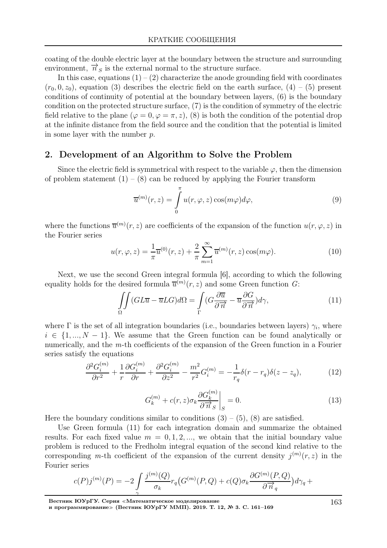coating of the double electric layer at the boundary between the structure and surrounding environment,  $\overrightarrow{n}_s$  is the external normal to the structure surface.

In this case, equations  $(1) - (2)$  characterize the anode grounding field with coordinates  $(r_0, 0, z_0)$ , equation (3) describes the electric field on the earth surface, (4) – (5) present conditions of continuity of potential at the boundary between layers, (6) is the boundary condition on the protected structure surface, (7) is the condition of symmetry of the electric field relative to the plane  $(\varphi = 0, \varphi = \pi, z)$ , (8) is both the condition of the potential drop at the infinite distance from the field source and the condition that the potential is limited in some layer with the number p.

## 2. Development of an Algorithm to Solve the Problem

Since the electric field is symmetrical with respect to the variable  $\varphi$ , then the dimension of problem statement  $(1) - (8)$  can be reduced by applying the Fourier transform

$$
\overline{u}^{(m)}(r,z) = \int_{0}^{\pi} u(r,\varphi,z) \cos(m\varphi) d\varphi, \qquad (9)
$$

where the functions  $\overline{u}^{(m)}(r, z)$  are coefficients of the expansion of the function  $u(r, \varphi, z)$  in the Fourier series

$$
u(r,\varphi,z) = \frac{1}{\pi} \overline{u}^{(0)}(r,z) + \frac{2}{\pi} \sum_{m=1}^{\infty} \overline{u}^{(m)}(r,z) \cos(m\varphi).
$$
 (10)

Next, we use the second Green integral formula [6], according to which the following equality holds for the desired formula  $\overline{u}^{(m)}(r, z)$  and some Green function G:

$$
\iint\limits_{\Omega} (GL\overline{u} - \overline{u}LG)d\Omega = \int\limits_{\Gamma} (G\frac{\partial \overline{u}}{\partial \overrightarrow{n}} - \overline{u}\frac{\partial G}{\partial \overrightarrow{n}})d\gamma, \tag{11}
$$

where  $\Gamma$  is the set of all integration boundaries (i.e., boundaries between layers)  $\gamma_i$ , where  $i \in \{1, ..., N-1\}$ . We assume that the Green function can be found analytically or numerically, and the m-th coefficients of the expansion of the Green function in a Fourier series satisfy the equations

$$
\frac{\partial^2 G_i^{(m)}}{\partial r^2} + \frac{1}{r} \frac{\partial G_i^{(m)}}{\partial r} + \frac{\partial^2 G_i^{(m)}}{\partial z^2} - \frac{m^2}{r^2} G_i^{(m)} = -\frac{1}{r_q} \delta(r - r_q) \delta(z - z_q),\tag{12}
$$

$$
G_k^{(m)} + c(r,z)\sigma_k \frac{\partial G_k^{(m)}}{\partial \overrightarrow{n}_s} \bigg|_S = 0.
$$
\n(13)

Here the boundary conditions similar to conditions  $(3) - (5)$ ,  $(8)$  are satisfied.

Use Green formula (11) for each integration domain and summarize the obtained results. For each fixed value  $m = 0, 1, 2, \dots$ , we obtain that the initial boundary value problem is reduced to the Fredholm integral equation of the second kind relative to the corresponding m-th coefficient of the expansion of the current density  $j^{(m)}(r, z)$  in the Fourier series

$$
c(P)j^{(m)}(P) = -2\int\limits_{\gamma} \frac{j^{(m)}(Q)}{\sigma_k} r_q(G^{(m)}(P,Q) + c(Q)\sigma_k \frac{\partial G^{(m)}(P,Q)}{\partial \overrightarrow{n}_q})d\gamma_q +
$$

Вестник ЮУрГУ. Серия <sup>≪</sup>Математическое моделирование

и программирование<sup>≫</sup> (Вестник ЮУрГУ ММП). 2019. Т. 12, № 3. С. 161–169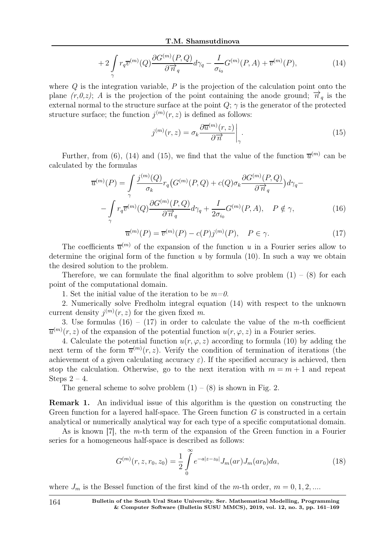$$
+2\int\limits_{\gamma}r_{q}\overline{v}^{(m)}(Q)\frac{\partial G^{(m)}(P,Q)}{\partial\overrightarrow{n}_{q}}d\gamma_{q}-\frac{I}{\sigma_{i_{0}}}G^{(m)}(P,A)+\overline{v}^{(m)}(P), \qquad (14)
$$

where  $Q$  is the integration variable,  $P$  is the projection of the calculation point onto the plane  $(r,0,z)$ ; A is the projection of the point containing the anode ground;  $\vec{n}_q$  is the external normal to the structure surface at the point  $Q$ ;  $\gamma$  is the generator of the protected structure surface; the function  $j^{(m)}(r, z)$  is defined as follows:

$$
j^{(m)}(r,z) = \sigma_k \frac{\partial \overline{u}^{(m)}(r,z)}{\partial \overrightarrow{n}} \bigg|_{\gamma}.
$$
 (15)

Further, from (6), (14) and (15), we find that the value of the function  $\overline{u}^{(m)}$  can be calculated by the formulas

$$
\overline{u}^{(m)}(P) = \int_{\gamma} \frac{j^{(m)}(Q)}{\sigma_k} r_q(G^{(m)}(P,Q) + c(Q)\sigma_k \frac{\partial G^{(m)}(P,Q)}{\partial \overrightarrow{n}_q}) d\gamma_q - \int_{\gamma} r_q \overline{v}^{(m)}(Q) \frac{\partial G^{(m)}(P,Q)}{\partial \overrightarrow{n}_q} d\gamma_q + \frac{I}{2\sigma_{i_0}} G^{(m)}(P,A), \quad P \notin \gamma,
$$
\n(16)

$$
\overline{u}^{(m)}(P) = \overline{v}^{(m)}(P) - c(P)j^{(m)}(P), \quad P \in \gamma.
$$
\n(17)

The coefficients  $\overline{u}^{(m)}$  of the expansion of the function u in a Fourier series allow to determine the original form of the function  $u$  by formula (10). In such a way we obtain the desired solution to the problem.

Therefore, we can formulate the final algorithm to solve problem  $(1) - (8)$  for each point of the computational domain.

1. Set the initial value of the iteration to be  $m=0$ .

2. Numerically solve Fredholm integral equation (14) with respect to the unknown current density  $j^{(m)}(r, z)$  for the given fixed m.

3. Use formulas  $(16) - (17)$  in order to calculate the value of the *m*-th coefficient  $\overline{u}^{(m)}(r, z)$  of the expansion of the potential function  $u(r, \varphi, z)$  in a Fourier series.

4. Calculate the potential function  $u(r, \varphi, z)$  according to formula (10) by adding the next term of the form  $\overline{u}^{(m)}(r, z)$ . Verify the condition of termination of iterations (the achievement of a given calculating accuracy  $\varepsilon$ ). If the specified accuracy is achieved, then stop the calculation. Otherwise, go to the next iteration with  $m = m + 1$  and repeat Steps  $2 - 4$ .

The general scheme to solve problem  $(1) - (8)$  is shown in Fig. 2.

Remark 1. An individual issue of this algorithm is the question on constructing the Green function for a layered half-space. The Green function  $G$  is constructed in a certain analytical or numerically analytical way for each type of a specific computational domain.

As is known [7], the m-th term of the expansion of the Green function in a Fourier series for a homogeneous half-space is described as follows:

$$
G^{(m)}(r, z, r_0, z_0) = \frac{1}{2} \int_{0}^{\infty} e^{-a|z - z_0|} J_m(ar) J_m(ar_0) da,
$$
\n(18)

where  $J_m$  is the Bessel function of the first kind of the m-th order,  $m = 0, 1, 2, ...$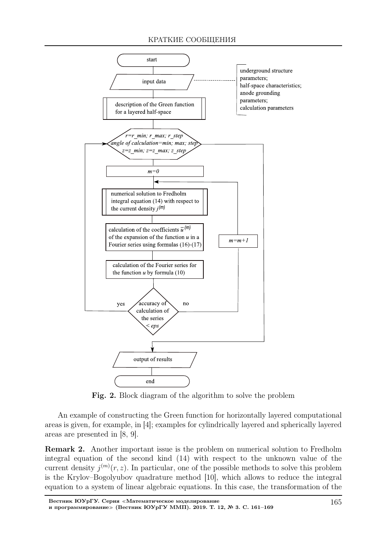#### КРАТКИЕ СООБЩЕНИЯ



Fig. 2. Block diagram of the algorithm to solve the problem

An example of constructing the Green function for horizontally layered computational areas is given, for example, in [4]; examples for cylindrically layered and spherically layered areas are presented in [8, 9].

Remark 2. Another important issue is the problem on numerical solution to Fredholm integral equation of the second kind (14) with respect to the unknown value of the current density  $j^{(m)}(r, z)$ . In particular, one of the possible methods to solve this problem is the Krylov–Bogolyubov quadrature method [10], which allows to reduce the integral equation to a system of linear algebraic equations. In this case, the transformation of the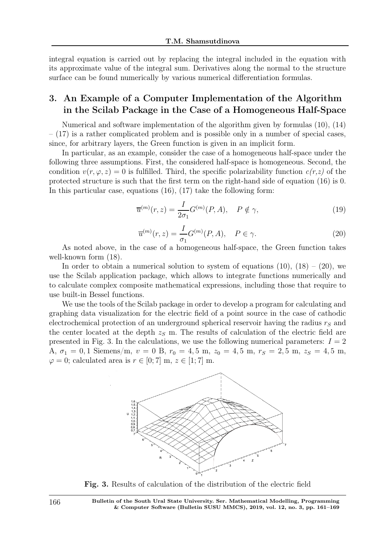integral equation is carried out by replacing the integral included in the equation with its approximate value of the integral sum. Derivatives along the normal to the structure surface can be found numerically by various numerical differentiation formulas.

# 3. An Example of a Computer Implementation of the Algorithm in the Scilab Package in the Case of a Homogeneous Half-Space

Numerical and software implementation of the algorithm given by formulas (10), (14)  $-$  (17) is a rather complicated problem and is possible only in a number of special cases, since, for arbitrary layers, the Green function is given in an implicit form.

In particular, as an example, consider the case of a homogeneous half-space under the following three assumptions. First, the considered half-space is homogeneous. Second, the condition  $v(r, \varphi, z) = 0$  is fulfilled. Third, the specific polarizability function  $c(r, z)$  of the protected structure is such that the first term on the right-hand side of equation (16) is 0. In this particular case, equations (16), (17) take the following form:

$$
\overline{u}^{(m)}(r,z) = \frac{I}{2\sigma_1} G^{(m)}(P,A), \quad P \notin \gamma,
$$
\n(19)

$$
\overline{u}^{(m)}(r,z) = \frac{I}{\sigma_1} G^{(m)}(P,A), \quad P \in \gamma.
$$
\n(20)

As noted above, in the case of a homogeneous half-space, the Green function takes well-known form (18).

In order to obtain a numerical solution to system of equations  $(10)$ ,  $(18) - (20)$ , we use the Scilab application package, which allows to integrate functions numerically and to calculate complex composite mathematical expressions, including those that require to use built-in Bessel functions.

We use the tools of the Scilab package in order to develop a program for calculating and graphing data visualization for the electric field of a point source in the case of cathodic electrochemical protection of an underground spherical reservoir having the radius  $r<sub>S</sub>$  and the center located at the depth  $z<sub>S</sub>$  m. The results of calculation of the electric field are presented in Fig. 3. In the calculations, we use the following numerical parameters:  $I = 2$ A,  $\sigma_1 = 0, 1$  Siemens/m,  $v = 0$  B,  $r_0 = 4, 5$  m,  $z_0 = 4, 5$  m,  $r_S = 2, 5$  m,  $z_S = 4, 5$  m,  $\varphi = 0$ ; calculated area is  $r \in [0, 7]$  m,  $z \in [1, 7]$  m.



Fig. 3. Results of calculation of the distribution of the electric field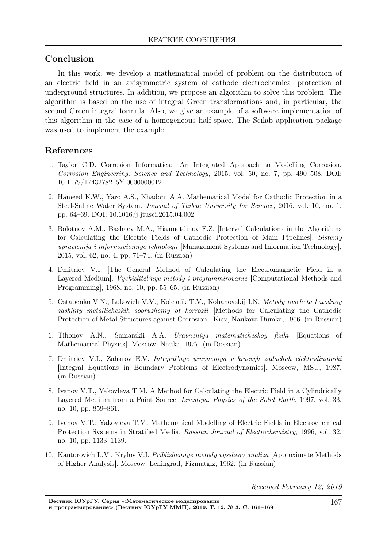# Conclusion

In this work, we develop a mathematical model of problem on the distribution of an electric field in an axisymmetric system of cathode electrochemical protection of underground structures. In addition, we propose an algorithm to solve this problem. The algorithm is based on the use of integral Green transformations and, in particular, the second Green integral formula. Also, we give an example of a software implementation of this algorithm in the case of a homogeneous half-space. The Scilab application package was used to implement the example.

# References

- 1. Taylor C.D. Corrosion Informatics: An Integrated Approach to Modelling Corrosion. Corrosion Engineering, Science and Technology, 2015, vol. 50, no. 7, pp. 490–508. DOI: 10.1179/1743278215Y.0000000012
- 2. Hameed K.W., Yaro A.S., Khadom A.A. Mathematical Model for Cathodic Protection in a Steel-Saline Water System. Journal of Taibah University for Science, 2016, vol. 10, no. 1, pp. 64–69. DOI: 10.1016/j.jtusci.2015.04.002
- 3. Bolotnov A.M., Bashaev M.A., Hisametdinov F.Z. [Interval Calculations in the Algorithms for Calculating the Electric Fields of Cathodic Protection of Main Pipelines]. Sistemy upravlenija i informacionnye tehnologii [Management Systems and Information Technology], 2015, vol. 62, no. 4, pp. 71–74. (in Russian)
- 4. Dmitriev V.I. [The General Method of Calculating the Electromagnetic Field in a Layered Medium. *Vychislitel'nye metody i programmirovanie* [Computational Methods and Programming], 1968, no. 10, pp. 55–65. (in Russian)
- 5. Ostapenko V.N., Lukovich V.V., Kolesnik T.V., Kohanovskij I.N. Metody rascheta katodnoy zashhity metallicheskih sooruzheniy ot korrozii [Methods for Calculating the Cathodic Protection of Metal Structures against Corrosion]. Kiev, Naukova Dumka, 1966. (in Russian)
- 6. Tihonov A.N., Samarskii A.A. Uravneniya matematicheskoy fiziki [Equations of Mathematical Physics]. Moscow, Nauka, 1977. (in Russian)
- 7. Dmitriev V.I., Zaharov E.V. Integral'nye uravneniya v kraevyh zadachah elektrodinamiki [Integral Equations in Boundary Problems of Electrodynamics]. Moscow, MSU, 1987. (in Russian)
- 8. Ivanov V.T., Yakovleva T.M. A Method for Calculating the Electric Field in a Cylindrically Layered Medium from a Point Source. Izvestiya. Physics of the Solid Earth, 1997, vol. 33, no. 10, pp. 859–861.
- 9. Ivanov V.T., Yakovleva T.M. Mathematical Modelling of Electric Fields in Electrochemical Protection Systems in Stratified Media. Russian Journal of Electrochemistry, 1996, vol. 32, no. 10, pp. 1133–1139.
- 10. Kantorovich L.V., Krylov V.I. Priblizhennye metody vysshego analiza [Approximate Methods of Higher Analysis]. Moscow, Leningrad, Fizmatgiz, 1962. (in Russian)

Received February 12, 2019

Вестник ЮУрГУ. Серия <sup>≪</sup>Математическое моделирование и программирование<sup>≫</sup> (Вестник ЮУрГУ ММП). 2019. Т. 12, № 3. С. 161–169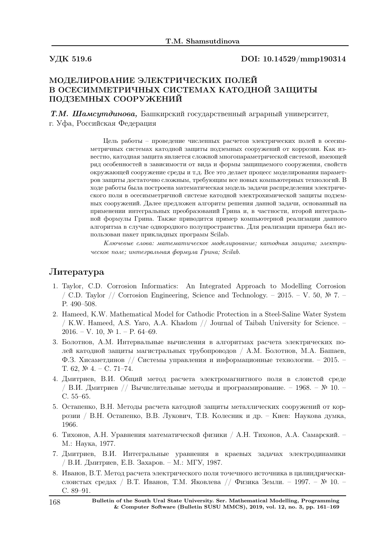#### УДК 519.6 DOI: 10.14529/mmp190314

## МОДЕЛИРОВАНИЕ ЭЛЕКТРИЧЕСКИХ ПОЛЕЙ В ОСЕСИММЕТРИЧНЫХ СИСТЕМАХ КАТОДНОЙ ЗАЩИТЫ ПОДЗЕМНЫХ СООРУЖЕНИЙ

Т.М. Шамсутдинова, Башкирский государственный аграрный университет, г. Уфа, Российская Федерация

> Цель работы – проведение численных расчетов электрических полей в осесимметричных системах катодной защиты подземных сооружений от коррозии. Как известно, катодная защита является сложной многопараметрической системой, имеющей ряд особенностей в зависимости от вида и формы защищаемого сооружения, свойств окружающей сооружение среды и т.д. Все это делает процесс моделирования параметров защиты достаточно сложным, требующим все новых компьютерных технологий. В ходе работы была построена математическая модель задачи распределения электрического поля в осесимметричной системе катодной электрохимической защиты подземных сооружений. Далее предложен алгоритм решения данной задачи, основанный на применении интегральных преобразований Грина и, в частности, второй интегральной формулы Грина. Также приводится пример компьютерной реализации данного алгоритма в случае однородного полупространства. Для реализации примера был использован пакет прикладных программ Scilab.

> Ключевые слова: математическое моделирование; катодная защита; электрическое поле; интегральная формула Грина; Scilab.

## Литература

- 1. Taylor, C.D. Corrosion Informatics: An Integrated Approach to Modelling Corrosion / C.D. Taylor // Corrosion Engineering, Science and Technology. – 2015. – V. 50,  $\mathbb{N}^2$  7. – P. 490–508.
- 2. Hameed, K.W. Mathematical Model for Cathodic Protection in a Steel-Saline Water System / K.W. Hameed, A.S. Yaro, A.A. Khadom // Journal of Taibah University for Science. – 2016. – V. 10,  $\mathbb{N}^{\circ}$  1. – P. 64–69.
- 3. Болотнов, А.М. Интервальные вычисления в алгоритмах расчета электрических полей катодной защиты магистральных трубопроводов / А.М. Болотнов, М.А. Башаев, Ф.З. Хисаметдинов // Системы управления и информационные технологии. – 2015. – Т. 62, № 4. – С. 71–74.
- 4. Дмитриев, В.И. Общий метод расчета электромагнитного поля в слоистой cpеде  $/$  В.И. Дмитриев  $//$  Вычислительные методы и программирование. – 1968. – № 10. – С. 55–65.
- 5. Остапенко, В.Н. Методы расчета катодной защиты металлических сооружений от коррозии / В.Н. Остапенко, В.В. Лукович, Т.В. Колесник и др. – Киев: Наукова думка, 1966.
- 6. Тихонов, А.Н. Уравнения математической физики / А.Н. Тихонов, А.А. Самарский. М.: Наука, 1977.
- 7. Дмитриев, В.И. Интегральные уравнения в краевых задачах электродинамики / В.И. Дмитриев, Е.В. Захаров. – М.: МГУ, 1987.
- 8. Иванов, В.Т. Метод расчета электрического поля точечного источника в цилиндрическислоистых средах / В.Т. Иванов, Т.М. Яковлева // Физика Земли. – 1997. – № 10. – С. 89–91.